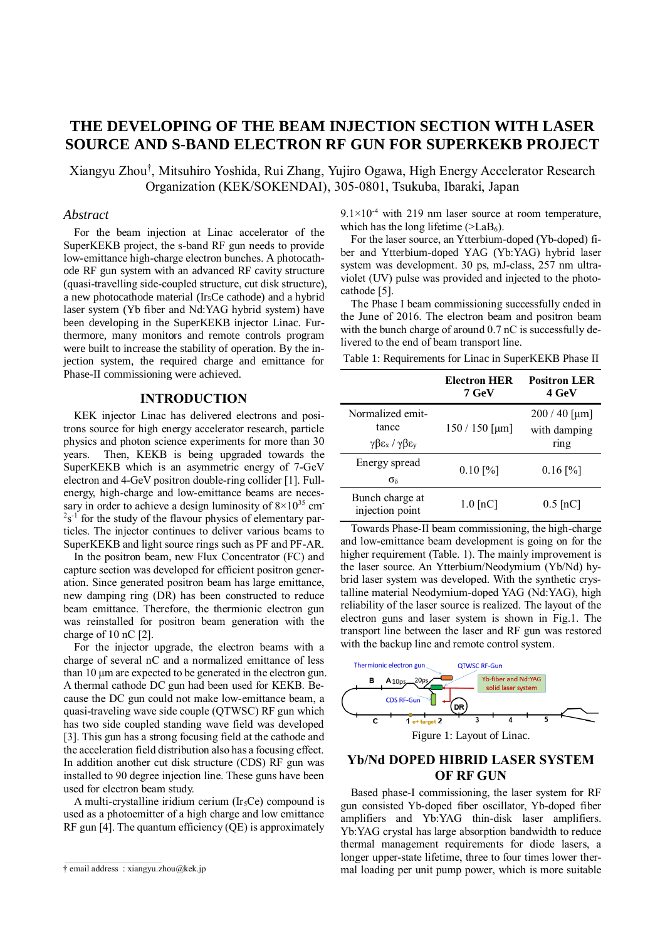# **THE DEVELOPING OF THE BEAM INJECTION SECTION WITH LASER SOURCE AND S-BAND ELECTRON RF GUN FOR SUPERKEKB PROJECT**

Xiangyu Zhou† , Mitsuhiro Yoshida, Rui Zhang, Yujiro Ogawa, High Energy Accelerator Research Organization (KEK/SOKENDAI), 305-0801, Tsukuba, Ibaraki, Japan

### *Abstract*

For the beam injection at Linac accelerator of the SuperKEKB project, the s-band RF gun needs to provide low-emittance high-charge electron bunches. A photocathode RF gun system with an advanced RF cavity structure (quasi-travelling side-coupled structure, cut disk structure), a new photocathode material (Ir5Ce cathode) and a hybrid laser system (Yb fiber and Nd:YAG hybrid system) have been developing in the SuperKEKB injector Linac. Furthermore, many monitors and remote controls program were built to increase the stability of operation. By the injection system, the required charge and emittance for Phase-II commissioning were achieved.

### **INTRODUCTION**

KEK injector Linac has delivered electrons and positrons source for high energy accelerator research, particle physics and photon science experiments for more than 30 years. Then, KEKB is being upgraded towards the SuperKEKB which is an asymmetric energy of 7-GeV electron and 4-GeV positron double-ring collider [1]. Fullenergy, high-charge and low-emittance beams are necessary in order to achieve a design luminosity of  $8 \times 10^{35}$  cm  $2s^{-1}$  for the study of the flavour physics of elementary particles. The injector continues to deliver various beams to SuperKEKB and light source rings such as PF and PF-AR.

In the positron beam, new Flux Concentrator (FC) and capture section was developed for efficient positron generation. Since generated positron beam has large emittance, new damping ring (DR) has been constructed to reduce beam emittance. Therefore, the thermionic electron gun was reinstalled for positron beam generation with the charge of 10 nC [2].

For the injector upgrade, the electron beams with a charge of several nC and a normalized emittance of less than 10 μm are expected to be generated in the electron gun. A thermal cathode DC gun had been used for KEKB. Because the DC gun could not make low-emittance beam, a quasi-traveling wave side couple (QTWSC) RF gun which has two side coupled standing wave field was developed [3]. This gun has a strong focusing field at the cathode and the acceleration field distribution also has a focusing effect. In addition another cut disk structure (CDS) RF gun was installed to 90 degree injection line. These guns have been used for electron beam study.

A multi-crystalline iridium cerium  $(Ir_5Ce)$  compound is used as a photoemitter of a high charge and low emittance RF gun [4]. The quantum efficiency (QE) is approximately  $9.1 \times 10^{-4}$  with 219 nm laser source at room temperature, which has the long lifetime ( $>LaB<sub>6</sub>$ ).

For the laser source, an Ytterbium-doped (Yb-doped) fiber and Ytterbium-doped YAG (Yb:YAG) hybrid laser system was development. 30 ps, mJ-class, 257 nm ultraviolet (UV) pulse was provided and injected to the photocathode [5].

The Phase I beam commissioning successfully ended in the June of 2016. The electron beam and positron beam with the bunch charge of around 0.7 nC is successfully delivered to the end of beam transport line.

Table 1: Requirements for Linac in SuperKEKB Phase II

|                                                                                  | <b>Electron HER</b><br>7 GeV | <b>Positron LER</b><br>4 GeV          |
|----------------------------------------------------------------------------------|------------------------------|---------------------------------------|
| Normalized emit-<br>tance<br>$\gamma \beta \epsilon_x / \gamma \beta \epsilon_y$ | $150/150$ [µm]               | $200/40$ [µm]<br>with damping<br>ring |
| Energy spread<br>$\sigma_{\delta}$                                               | $0.10$ [%]                   | $0.16$ [%]                            |
| Bunch charge at<br>injection point                                               | $1.0$ [nC]                   | $0.5$ [nC]                            |

Towards Phase-II beam commissioning, the high-charge and low-emittance beam development is going on for the higher requirement (Table. 1). The mainly improvement is the laser source. An Ytterbium/Neodymium (Yb/Nd) hybrid laser system was developed. With the synthetic crystalline material Neodymium-doped YAG (Nd:YAG), high reliability of the laser source is realized. The layout of the electron guns and laser system is shown in Fig.1. The transport line between the laser and RF gun was restored with the backup line and remote control system.



# Figure 1: Layout of Linac.

## **Yb/Nd DOPED HIBRID LASER SYSTEM OF RF GUN**

Based phase-I commissioning, the laser system for RF gun consisted Yb-doped fiber oscillator, Yb-doped fiber amplifiers and Yb:YAG thin-disk laser amplifiers. Yb:YAG crystal has large absorption bandwidth to reduce thermal management requirements for diode lasers, a longer upper-state lifetime, three to four times lower thermal loading per unit pump power, which is more suitable

\_\_\_\_\_\_\_\_\_\_\_\_\_\_\_\_\_\_\_\_\_\_\_\_\_\_\_\_\_\_\_\_\_\_\_\_\_\_\_\_ † email address : xiangyu.zhou@kek.jp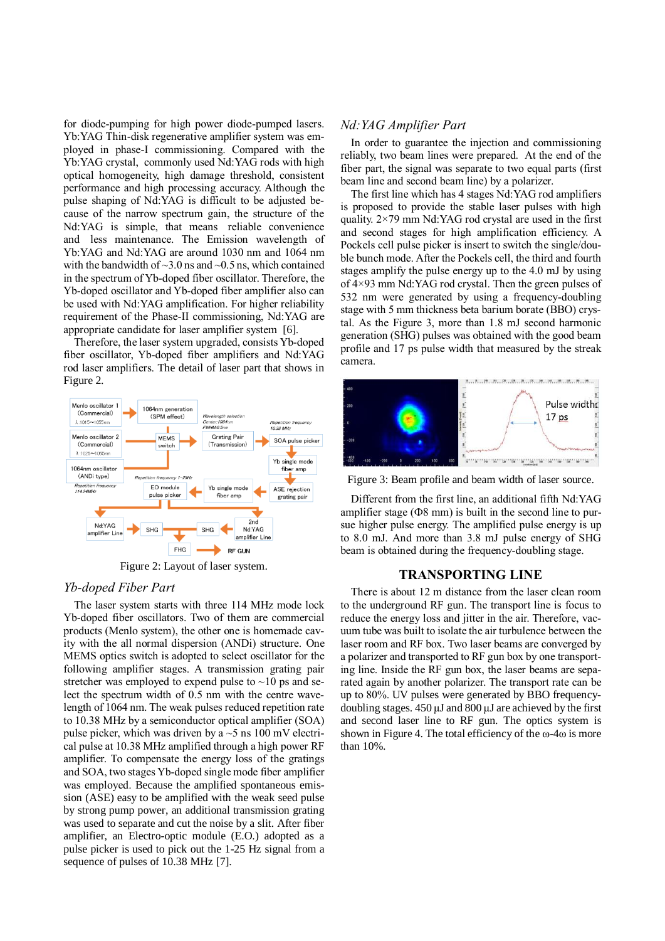for diode-pumping for high power diode-pumped lasers. Yb:YAG Thin-disk regenerative amplifier system was employed in phase-I commissioning. Compared with the Yb:YAG crystal, commonly used Nd:YAG rods with high optical homogeneity, high damage threshold, consistent performance and high processing accuracy. Although the pulse shaping of Nd:YAG is difficult to be adjusted because of the narrow spectrum gain, the structure of the Nd:YAG is simple, that means reliable convenience and less maintenance. The Emission wavelength of Yb:YAG and Nd:YAG are around 1030 nm and 1064 nm with the bandwidth of  $\sim$ 3.0 ns and  $\sim$ 0.5 ns, which contained in the spectrum of Yb-doped fiber oscillator. Therefore, the Yb-doped oscillator and Yb-doped fiber amplifier also can be used with Nd:YAG amplification. For higher reliability requirement of the Phase-II commissioning, Nd:YAG are appropriate candidate for laser amplifier system [6].

Therefore, the laser system upgraded, consists Yb-doped fiber oscillator, Yb-doped fiber amplifiers and Nd:YAG rod laser amplifiers. The detail of laser part that shows in Figure 2.



Figure 2: Layout of laser system.

### *Yb-doped Fiber Part*

The laser system starts with three 114 MHz mode lock Yb-doped fiber oscillators. Two of them are commercial products (Menlo system), the other one is homemade cavity with the all normal dispersion (ANDi) structure. One MEMS optics switch is adopted to select oscillator for the following amplifier stages. A transmission grating pair stretcher was employed to expend pulse to  $\sim$ 10 ps and select the spectrum width of 0.5 nm with the centre wavelength of 1064 nm. The weak pulses reduced repetition rate to 10.38 MHz by a semiconductor optical amplifier (SOA) pulse picker, which was driven by a  $\sim$  5 ns 100 mV electrical pulse at 10.38 MHz amplified through a high power RF amplifier. To compensate the energy loss of the gratings and SOA, two stages Yb-doped single mode fiber amplifier was employed. Because the amplified spontaneous emission (ASE) easy to be amplified with the weak seed pulse by strong pump power, an additional transmission grating was used to separate and cut the noise by a slit. After fiber amplifier, an Electro-optic module (E.O.) adopted as a pulse picker is used to pick out the 1-25 Hz signal from a sequence of pulses of 10.38 MHz [7].

#### *Nd:YAG Amplifier Part*

In order to guarantee the injection and commissioning reliably, two beam lines were prepared. At the end of the fiber part, the signal was separate to two equal parts (first beam line and second beam line) by a polarizer.

The first line which has 4 stages Nd:YAG rod amplifiers is proposed to provide the stable laser pulses with high quality. 2×79 mm Nd:YAG rod crystal are used in the first and second stages for high amplification efficiency. A Pockels cell pulse picker is insert to switch the single/double bunch mode. After the Pockels cell, the third and fourth stages amplify the pulse energy up to the 4.0 mJ by using of 4×93 mm Nd:YAG rod crystal. Then the green pulses of 532 nm were generated by using a frequency-doubling stage with 5 mm thickness beta barium borate (BBO) crystal. As the Figure 3, more than 1.8 mJ second harmonic generation (SHG) pulses was obtained with the good beam profile and 17 ps pulse width that measured by the streak camera.



Figure 3: Beam profile and beam width of laser source.

Different from the first line, an additional fifth Nd:YAG amplifier stage  $(Φ8$  mm) is built in the second line to pursue higher pulse energy. The amplified pulse energy is up to 8.0 mJ. And more than 3.8 mJ pulse energy of SHG beam is obtained during the frequency-doubling stage.

#### **TRANSPORTING LINE**

There is about 12 m distance from the laser clean room to the underground RF gun. The transport line is focus to reduce the energy loss and jitter in the air. Therefore, vacuum tube was built to isolate the air turbulence between the laser room and RF box. Two laser beams are converged by a polarizer and transported to RF gun box by one transporting line. Inside the RF gun box, the laser beams are separated again by another polarizer. The transport rate can be up to 80%. UV pulses were generated by BBO frequencydoubling stages. 450 μJ and 800 μJ are achieved by the first and second laser line to RF gun. The optics system is shown in Figure 4. The total efficiency of the  $\omega$ -4 $\omega$  is more than 10%.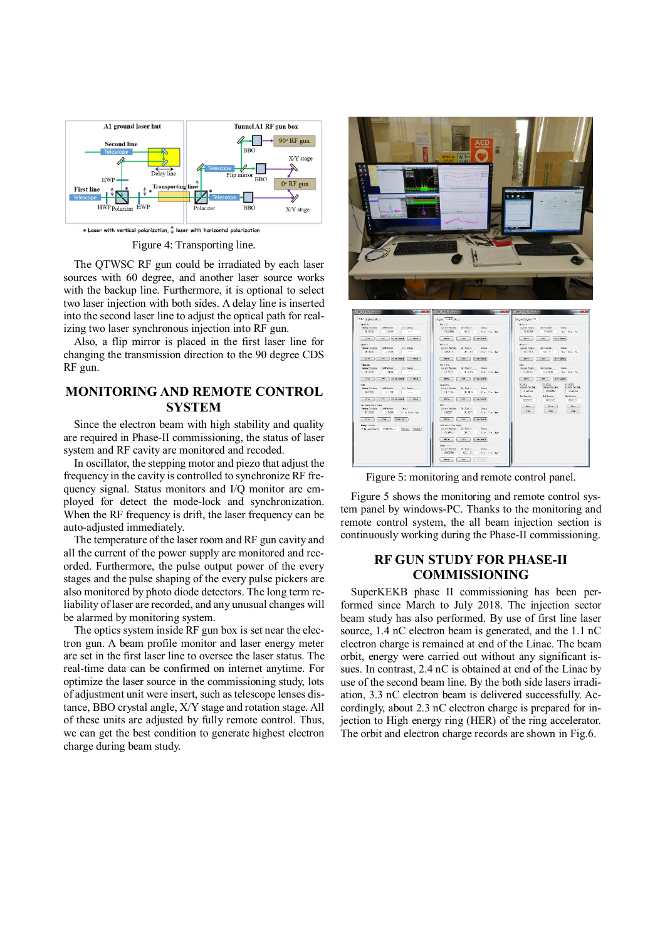

Figure 4: Transporting line.

The QTWSC RF gun could be irradiated by each laser sources with 60 degree, and another laser source works with the backup line. Furthermore, it is optional to select two laser injection with both sides. A delay line is inserted into the second laser line to adjust the optical path for realizing two laser synchronous injection into RF gun.

Also, a flip mirror is placed in the first laser line for changing the transmission direction to the 90 degree CDS RF gun.

# **MONITORING AND REMOTE CONTROL SYSTEM**

Since the electron beam with high stability and quality are required in Phase-II commissioning, the status of laser system and RF cavity are monitored and recoded.

In oscillator, the stepping motor and piezo that adjust the frequency in the cavity is controlled to synchronize RF frequency signal. Status monitors and I/Q monitor are employed for detect the mode-lock and synchronization. When the RF frequency is drift, the laser frequency can be auto-adjusted immediately.

The temperature of the laser room and RF gun cavity and all the current of the power supply are monitored and recorded. Furthermore, the pulse output power of the every stages and the pulse shaping of the every pulse pickers are also monitored by photo diode detectors. The long term reliability of laser are recorded, and any unusual changes will be alarmed by monitoring system.

The optics system inside RF gun box is set near the electron gun. A beam profile monitor and laser energy meter are set in the first laser line to oversee the laser status. The real-time data can be confirmed on internet anytime. For optimize the laser source in the commissioning study, lots of adjustment unit were insert, such as telescope lenses distance, BBO crystal angle, X/Y stage and rotation stage. All of these units are adjusted by fully remote control. Thus, we can get the best condition to generate highest electron charge during beam study.





Figure 5: monitoring and remote control panel.

Figure 5 shows the monitoring and remote control system panel by windows-PC. Thanks to the monitoring and remote control system, the all beam injection section is continuously working during the Phase-II commissioning.

# **RF GUN STUDY FOR PHASE-II COMMISSIONING**

SuperKEKB phase II commissioning has been performed since March to July 2018. The injection sector beam study has also performed. By use of first line laser source, 1.4 nC electron beam is generated, and the 1.1 nC electron charge is remained at end of the Linac. The beam orbit, energy were carried out without any significant issues. In contrast, 2.4 nC is obtained at end of the Linac by use of the second beam line. By the both side lasers irradiation, 3.3 nC electron beam is delivered successfully. Accordingly, about 2.3 nC electron charge is prepared for injection to High energy ring (HER) of the ring accelerator. The orbit and electron charge records are shown in Fig.6.